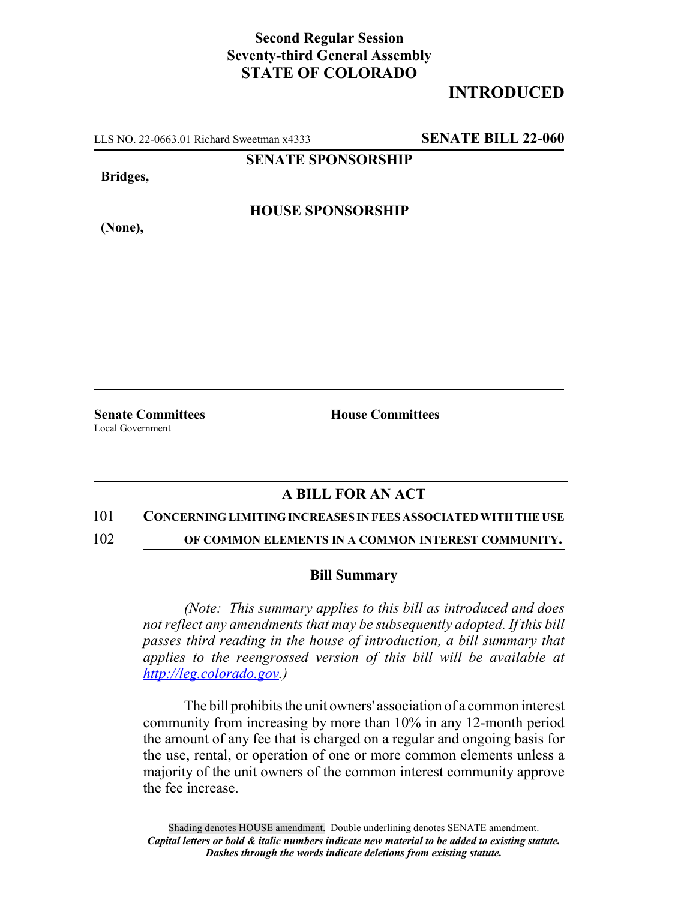## **Second Regular Session Seventy-third General Assembly STATE OF COLORADO**

# **INTRODUCED**

LLS NO. 22-0663.01 Richard Sweetman x4333 **SENATE BILL 22-060**

**SENATE SPONSORSHIP**

**Bridges,**

**(None),**

**HOUSE SPONSORSHIP**

Local Government

**Senate Committees House Committees** 

## **A BILL FOR AN ACT**

### 101 **CONCERNING LIMITING INCREASES IN FEES ASSOCIATED WITH THE USE**

102 **OF COMMON ELEMENTS IN A COMMON INTEREST COMMUNITY.**

#### **Bill Summary**

*(Note: This summary applies to this bill as introduced and does not reflect any amendments that may be subsequently adopted. If this bill passes third reading in the house of introduction, a bill summary that applies to the reengrossed version of this bill will be available at http://leg.colorado.gov.)*

The bill prohibits the unit owners' association of a common interest community from increasing by more than 10% in any 12-month period the amount of any fee that is charged on a regular and ongoing basis for the use, rental, or operation of one or more common elements unless a majority of the unit owners of the common interest community approve the fee increase.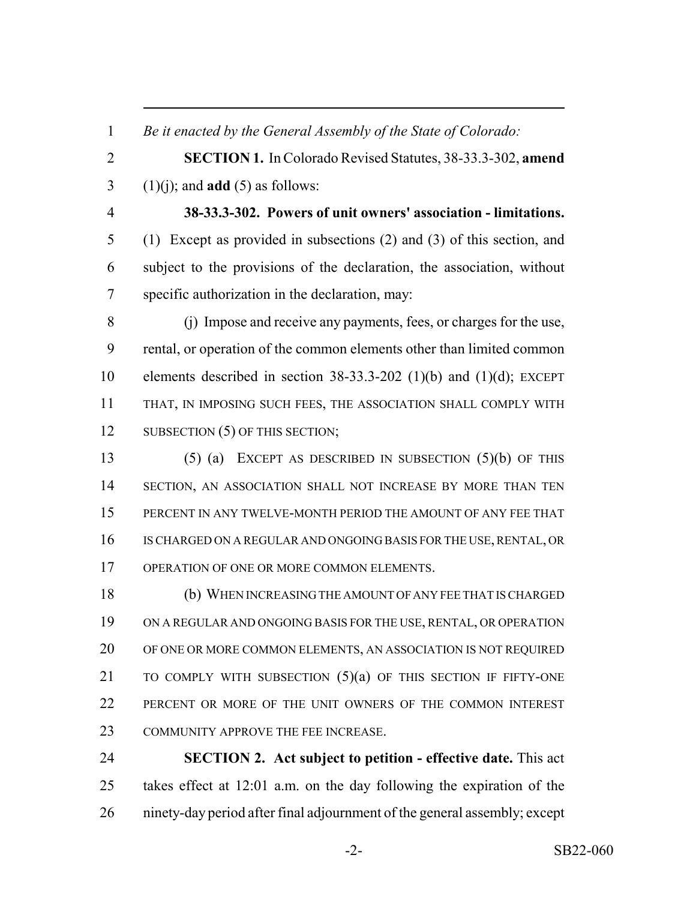*Be it enacted by the General Assembly of the State of Colorado:*

 **SECTION 1.** In Colorado Revised Statutes, 38-33.3-302, **amend** (1)(j); and **add** (5) as follows:

 **38-33.3-302. Powers of unit owners' association - limitations.** (1) Except as provided in subsections (2) and (3) of this section, and subject to the provisions of the declaration, the association, without specific authorization in the declaration, may:

 (j) Impose and receive any payments, fees, or charges for the use, rental, or operation of the common elements other than limited common 10 elements described in section  $38-33.3-202$  (1)(b) and (1)(d); EXCEPT THAT, IN IMPOSING SUCH FEES, THE ASSOCIATION SHALL COMPLY WITH 12 SUBSECTION (5) OF THIS SECTION;

 (5) (a) EXCEPT AS DESCRIBED IN SUBSECTION (5)(b) OF THIS 14 SECTION, AN ASSOCIATION SHALL NOT INCREASE BY MORE THAN TEN PERCENT IN ANY TWELVE-MONTH PERIOD THE AMOUNT OF ANY FEE THAT IS CHARGED ON A REGULAR AND ONGOING BASIS FOR THE USE, RENTAL, OR 17 OPERATION OF ONE OR MORE COMMON ELEMENTS.

 (b) WHEN INCREASING THE AMOUNT OF ANY FEE THAT IS CHARGED ON A REGULAR AND ONGOING BASIS FOR THE USE, RENTAL, OR OPERATION OF ONE OR MORE COMMON ELEMENTS, AN ASSOCIATION IS NOT REQUIRED TO COMPLY WITH SUBSECTION (5)(a) OF THIS SECTION IF FIFTY-ONE PERCENT OR MORE OF THE UNIT OWNERS OF THE COMMON INTEREST COMMUNITY APPROVE THE FEE INCREASE.

 **SECTION 2. Act subject to petition - effective date.** This act takes effect at 12:01 a.m. on the day following the expiration of the ninety-day period after final adjournment of the general assembly; except